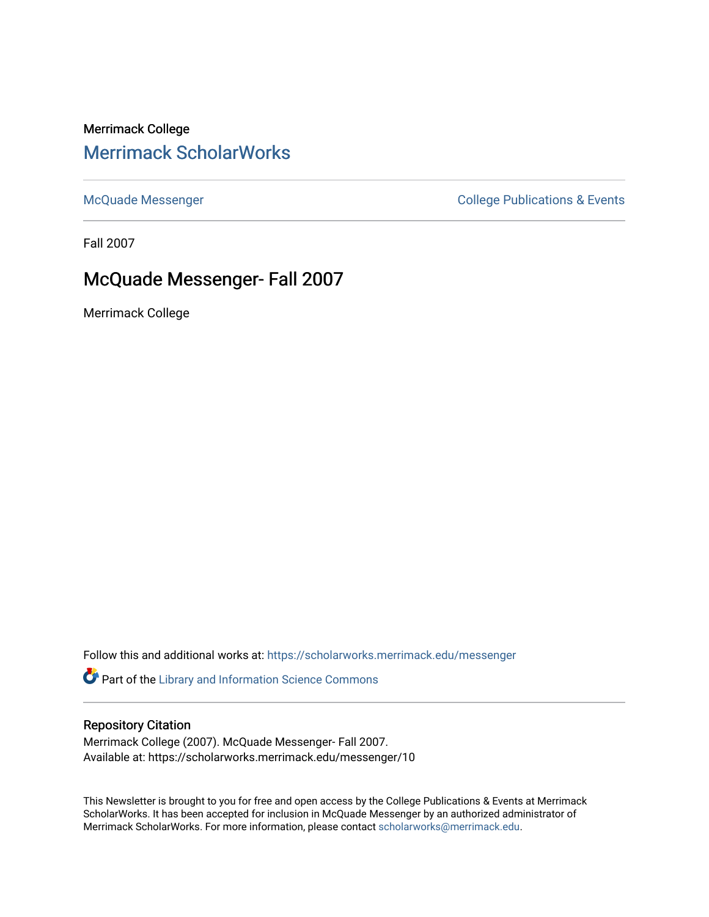## Merrimack College [Merrimack ScholarWorks](https://scholarworks.merrimack.edu/)

[McQuade Messenger](https://scholarworks.merrimack.edu/messenger) College Publications & Events

Fall 2007

# McQuade Messenger- Fall 2007

Merrimack College

Follow this and additional works at: [https://scholarworks.merrimack.edu/messenger](https://scholarworks.merrimack.edu/messenger?utm_source=scholarworks.merrimack.edu%2Fmessenger%2F10&utm_medium=PDF&utm_campaign=PDFCoverPages) 

Part of the [Library and Information Science Commons](http://network.bepress.com/hgg/discipline/1018?utm_source=scholarworks.merrimack.edu%2Fmessenger%2F10&utm_medium=PDF&utm_campaign=PDFCoverPages) 

#### Repository Citation

Merrimack College (2007). McQuade Messenger- Fall 2007. Available at: https://scholarworks.merrimack.edu/messenger/10

This Newsletter is brought to you for free and open access by the College Publications & Events at Merrimack ScholarWorks. It has been accepted for inclusion in McQuade Messenger by an authorized administrator of Merrimack ScholarWorks. For more information, please contact [scholarworks@merrimack.edu](mailto:scholarworks@merrimack.edu).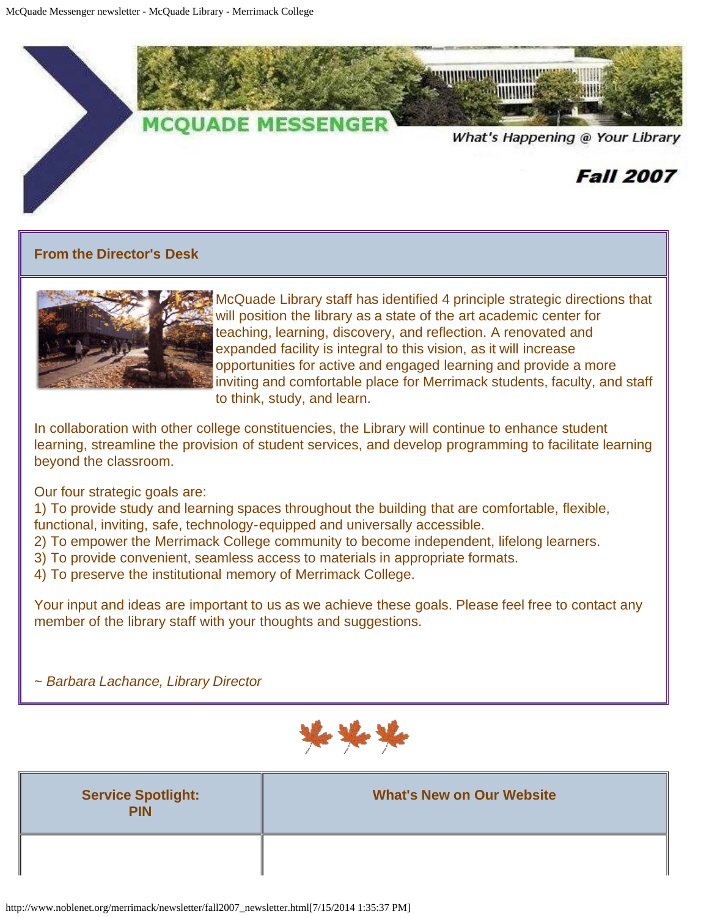

## **From the Director's Desk**



McQuade Library staff has identified 4 principle strategic directions that will position the library as a state of the art academic center for teaching, learning, discovery, and reflection. A renovated and expanded facility is integral to this vision, as it will increase opportunities for active and engaged learning and provide a more inviting and comfortable place for Merrimack students, faculty, and staff to think, study, and learn.

In collaboration with other college constituencies, the Library will continue to enhance student learning, streamline the provision of student services, and develop programming to facilitate learning beyond the classroom.

Our four strategic goals are:

1) To provide study and learning spaces throughout the building that are comfortable, flexible, functional, inviting, safe, technology-equipped and universally accessible.

2) To empower the Merrimack College community to become independent, lifelong learners.

- 3) To provide convenient, seamless access to materials in appropriate formats.
- 4) To preserve the institutional memory of Merrimack College.

Your input and ideas are important to us as we achieve these goals. Please feel free to contact any member of the library staff with your thoughts and suggestions.

*~ Barbara Lachance, Library Director*



| <b>Service Spotlight:</b><br><b>PIN</b> | <b>What's New on Our Website</b> |
|-----------------------------------------|----------------------------------|
|                                         |                                  |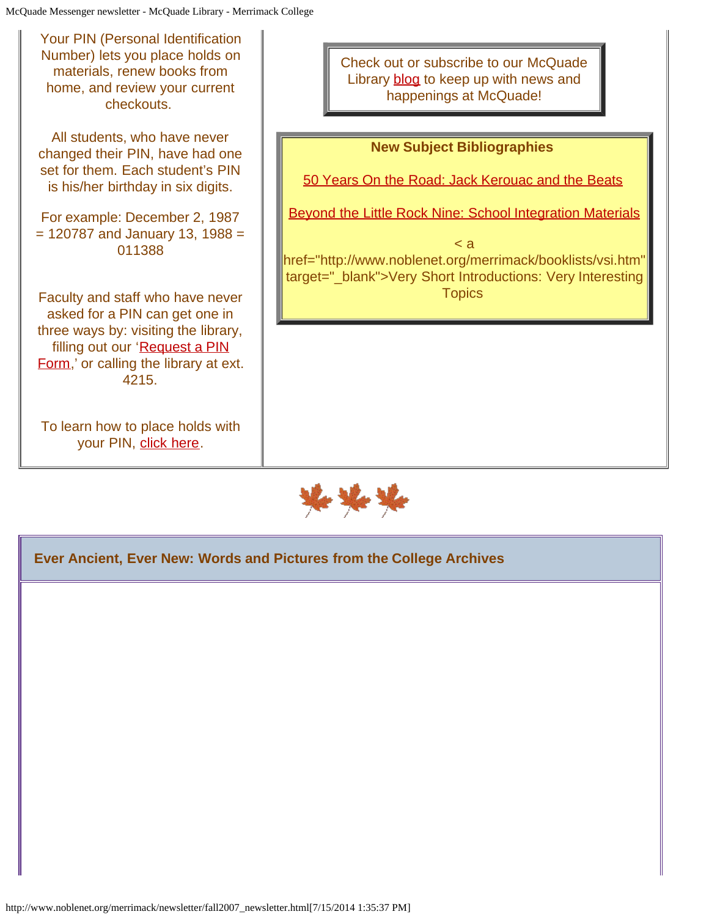| <b>Your PIN (Personal Identification</b><br>Number) lets you place holds on<br>materials, renew books from<br>home, and review your current<br>checkouts.                                      | Check out or subscribe to our McQuade<br>Library blog to keep up with news and<br>happenings at McQuade!                                                                                                                  |
|------------------------------------------------------------------------------------------------------------------------------------------------------------------------------------------------|---------------------------------------------------------------------------------------------------------------------------------------------------------------------------------------------------------------------------|
| All students, who have never<br>changed their PIN, have had one<br>set for them. Each student's PIN<br>is his/her birthday in six digits.                                                      | <b>New Subject Bibliographies</b><br>50 Years On the Road: Jack Kerouac and the Beats                                                                                                                                     |
| For example: December 2, 1987<br>$= 120787$ and January 13, 1988 =<br>011388                                                                                                                   | <b>Beyond the Little Rock Nine: School Integration Materials</b><br>$\leq a$<br>href="http://www.noblenet.org/merrimack/booklists/vsi.htm"<br>target="_blank">Very Short Introductions: Very Interesting<br><b>Topics</b> |
| Faculty and staff who have never<br>asked for a PIN can get one in<br>three ways by: visiting the library,<br>filling out our 'Request a PIN<br>Form,' or calling the library at ext.<br>4215. |                                                                                                                                                                                                                           |
| To learn how to place holds with<br>your PIN, click here.                                                                                                                                      |                                                                                                                                                                                                                           |



**Ever Ancient, Ever New: Words and Pictures from the College Archives**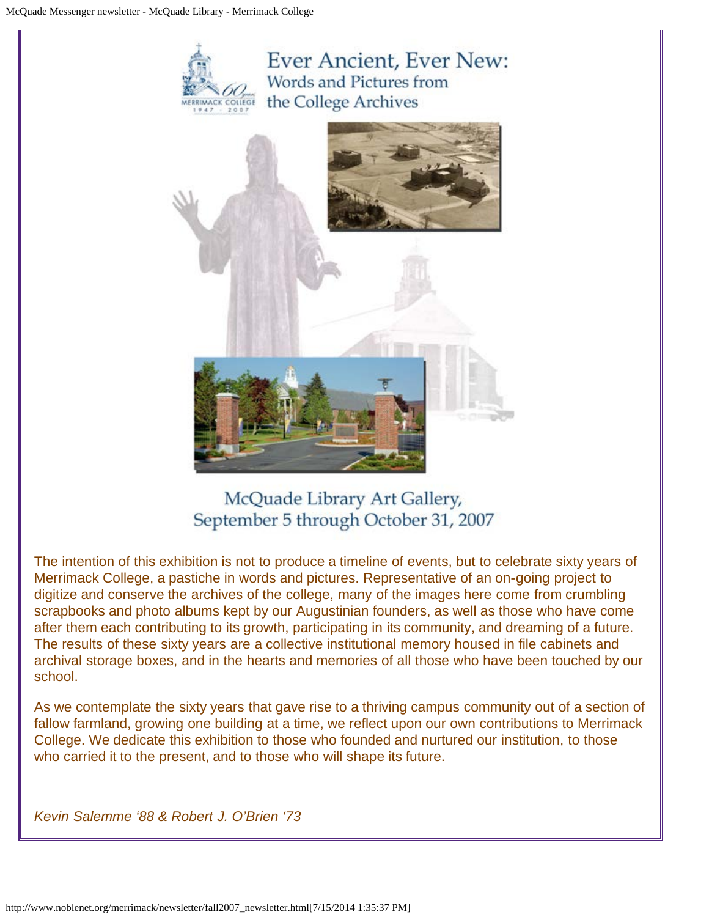

# McQuade Library Art Gallery, September 5 through October 31, 2007

The intention of this exhibition is not to produce a timeline of events, but to celebrate sixty years of Merrimack College, a pastiche in words and pictures. Representative of an on-going project to digitize and conserve the archives of the college, many of the images here come from crumbling scrapbooks and photo albums kept by our Augustinian founders, as well as those who have come after them each contributing to its growth, participating in its community, and dreaming of a future. The results of these sixty years are a collective institutional memory housed in file cabinets and archival storage boxes, and in the hearts and memories of all those who have been touched by our school.

As we contemplate the sixty years that gave rise to a thriving campus community out of a section of fallow farmland, growing one building at a time, we reflect upon our own contributions to Merrimack College. We dedicate this exhibition to those who founded and nurtured our institution, to those who carried it to the present, and to those who will shape its future.

*Kevin Salemme '88 & Robert J. O'Brien '73*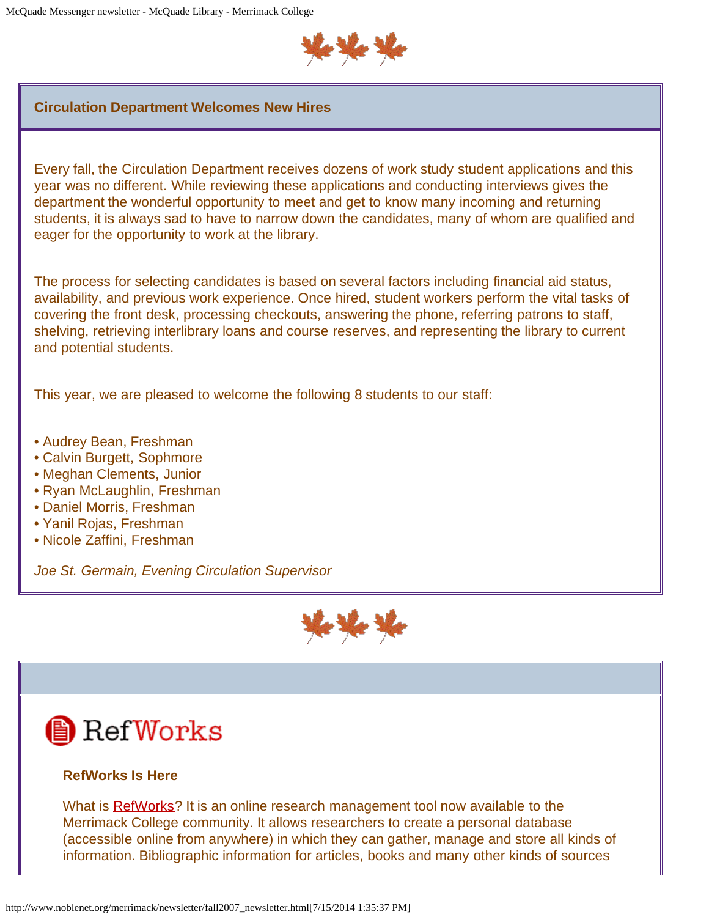

#### **Circulation Department Welcomes New Hires**

Every fall, the Circulation Department receives dozens of work study student applications and this year was no different. While reviewing these applications and conducting interviews gives the department the wonderful opportunity to meet and get to know many incoming and returning students, it is always sad to have to narrow down the candidates, many of whom are qualified and eager for the opportunity to work at the library.

The process for selecting candidates is based on several factors including financial aid status, availability, and previous work experience. Once hired, student workers perform the vital tasks of covering the front desk, processing checkouts, answering the phone, referring patrons to staff, shelving, retrieving interlibrary loans and course reserves, and representing the library to current and potential students.

This year, we are pleased to welcome the following 8 students to our staff:

- Audrey Bean, Freshman
- Calvin Burgett, Sophmore
- Meghan Clements, Junior
- Ryan McLaughlin, Freshman
- Daniel Morris, Freshman
- Yanil Rojas, Freshman
- Nicole Zaffini, Freshman

*Joe St. Germain, Evening Circulation Supervisor*



# **A** RefWorks

## **RefWorks Is Here**

What is [RefWorks](http://www.refworks.com/)? It is an online research management tool now available to the Merrimack College community. It allows researchers to create a personal database (accessible online from anywhere) in which they can gather, manage and store all kinds of information. Bibliographic information for articles, books and many other kinds of sources